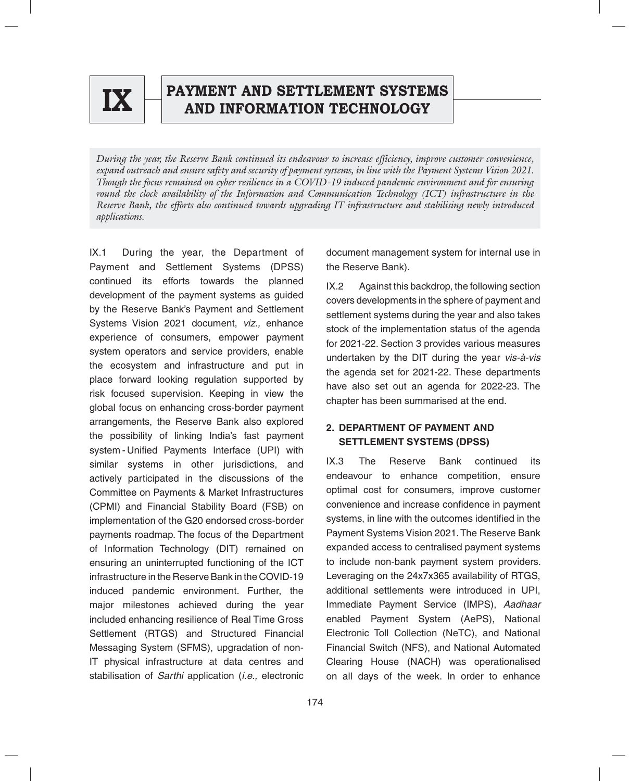

# **EX PAYMENT AND SETTLEMENT SYSTEMS AND INFORMATION TECHNOLOGY**

*During the year, the Reserve Bank continued its endeavour to increase efficiency, improve customer convenience, expand outreach and ensure safety and security of payment systems, in line with the Payment Systems Vision 2021. Though the focus remained on cyber resilience in a COVID-19 induced pandemic environment and for ensuring round the clock availability of the Information and Communication Technology (ICT) infrastructure in the Reserve Bank, the efforts also continued towards upgrading IT infrastructure and stabilising newly introduced applications.* 

IX.1 During the year, the Department of Payment and Settlement Systems (DPSS) continued its efforts towards the planned development of the payment systems as guided by the Reserve Bank's Payment and Settlement Systems Vision 2021 document, *viz.,* enhance experience of consumers, empower payment system operators and service providers, enable the ecosystem and infrastructure and put in place forward looking regulation supported by risk focused supervision. Keeping in view the global focus on enhancing cross-border payment arrangements, the Reserve Bank also explored the possibility of linking India's fast payment system - Unified Payments Interface (UPI) with similar systems in other jurisdictions, and actively participated in the discussions of the Committee on Payments & Market Infrastructures (CPMI) and Financial Stability Board (FSB) on implementation of the G20 endorsed cross-border payments roadmap. The focus of the Department of Information Technology (DIT) remained on ensuring an uninterrupted functioning of the ICT infrastructure in the Reserve Bank in the COVID-19 induced pandemic environment. Further, the major milestones achieved during the year included enhancing resilience of Real Time Gross Settlement (RTGS) and Structured Financial Messaging System (SFMS), upgradation of non-IT physical infrastructure at data centres and stabilisation of *Sarthi* application (*i.e.,* electronic

document management system for internal use in the Reserve Bank).

IX.2 Against this backdrop, the following section covers developments in the sphere of payment and settlement systems during the year and also takes stock of the implementation status of the agenda for 2021-22. Section 3 provides various measures undertaken by the DIT during the year *vis-à-vis* the agenda set for 2021-22. These departments have also set out an agenda for 2022-23. The chapter has been summarised at the end.

# **2. DEPARTMENT OF PAYMENT AND SETTLEMENT SYSTEMS (DPSS)**

IX.3 The Reserve Bank continued its endeavour to enhance competition, ensure optimal cost for consumers, improve customer convenience and increase confidence in payment systems, in line with the outcomes identified in the Payment Systems Vision 2021. The Reserve Bank expanded access to centralised payment systems to include non-bank payment system providers. Leveraging on the 24x7x365 availability of RTGS, additional settlements were introduced in UPI, Immediate Payment Service (IMPS), *Aadhaar* enabled Payment System (AePS), National Electronic Toll Collection (NeTC), and National Financial Switch (NFS), and National Automated Clearing House (NACH) was operationalised on all days of the week. In order to enhance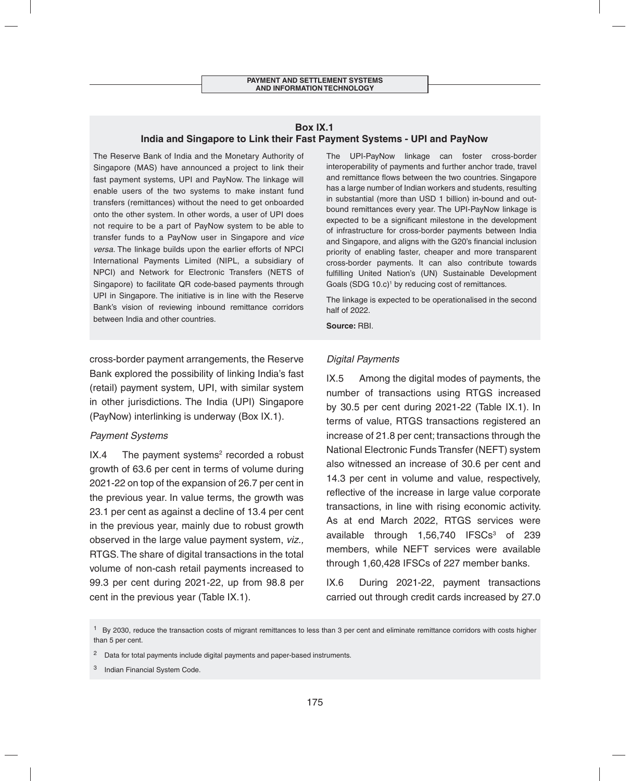#### **Box IX.1 India and Singapore to Link their Fast Payment Systems - UPI and PayNow**

The Reserve Bank of India and the Monetary Authority of Singapore (MAS) have announced a project to link their fast payment systems, UPI and PayNow. The linkage will enable users of the two systems to make instant fund transfers (remittances) without the need to get onboarded onto the other system. In other words, a user of UPI does not require to be a part of PayNow system to be able to transfer funds to a PayNow user in Singapore and *vice versa*. The linkage builds upon the earlier efforts of NPCI International Payments Limited (NIPL, a subsidiary of NPCI) and Network for Electronic Transfers (NETS of Singapore) to facilitate QR code-based payments through UPI in Singapore. The initiative is in line with the Reserve Bank's vision of reviewing inbound remittance corridors between India and other countries.

cross-border payment arrangements, the Reserve Bank explored the possibility of linking India's fast (retail) payment system, UPI, with similar system in other jurisdictions. The India (UPI) Singapore (PayNow) interlinking is underway (Box IX.1).

#### *Payment Systems*

IX.4 The payment systems<sup>2</sup> recorded a robust growth of 63.6 per cent in terms of volume during 2021-22 on top of the expansion of 26.7 per cent in the previous year. In value terms, the growth was 23.1 per cent as against a decline of 13.4 per cent in the previous year, mainly due to robust growth observed in the large value payment system, *viz.,* RTGS. The share of digital transactions in the total volume of non-cash retail payments increased to 99.3 per cent during 2021-22, up from 98.8 per cent in the previous year (Table IX.1).

The UPI-PayNow linkage can foster cross-border interoperability of payments and further anchor trade, travel and remittance flows between the two countries. Singapore has a large number of Indian workers and students, resulting in substantial (more than USD 1 billion) in-bound and outbound remittances every year. The UPI-PayNow linkage is expected to be a significant milestone in the development of infrastructure for cross-border payments between India and Singapore, and aligns with the G20's financial inclusion priority of enabling faster, cheaper and more transparent cross-border payments. It can also contribute towards fulfilling United Nation's (UN) Sustainable Development Goals (SDG 10.c)<sup>1</sup> by reducing cost of remittances.

The linkage is expected to be operationalised in the second half of 2022.

**Source:** RBI.

#### *Digital Payments*

IX.5 Among the digital modes of payments, the number of transactions using RTGS increased by 30.5 per cent during 2021-22 (Table IX.1). In terms of value, RTGS transactions registered an increase of 21.8 per cent; transactions through the National Electronic Funds Transfer (NEFT) system also witnessed an increase of 30.6 per cent and 14.3 per cent in volume and value, respectively, reflective of the increase in large value corporate transactions, in line with rising economic activity. As at end March 2022, RTGS services were available through  $1,56,740$  IFSCs<sup>3</sup> of 239 members, while NEFT services were available through 1,60,428 IFSCs of 227 member banks.

IX.6 During 2021-22, payment transactions carried out through credit cards increased by 27.0

 $<sup>1</sup>$  By 2030, reduce the transaction costs of migrant remittances to less than 3 per cent and eliminate remittance corridors with costs higher</sup> than 5 per cent.

<sup>&</sup>lt;sup>2</sup> Data for total payments include digital payments and paper-based instruments.

Indian Financial System Code.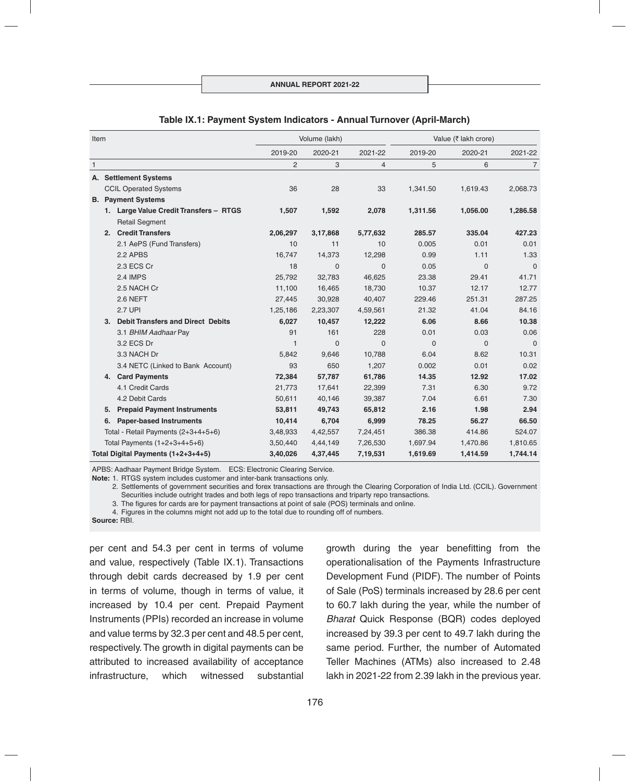| Item                               |                                | Volume (lakh)                            |                |          | Value (₹ lakh crore) |          |              |                |
|------------------------------------|--------------------------------|------------------------------------------|----------------|----------|----------------------|----------|--------------|----------------|
|                                    |                                |                                          | 2019-20        | 2020-21  | 2021-22              | 2019-20  | 2020-21      | 2021-22        |
| $\overline{1}$                     |                                |                                          | $\overline{2}$ | 3        | 4                    | 5        | 6            | $\overline{7}$ |
|                                    |                                | A. Settlement Systems                    |                |          |                      |          |              |                |
|                                    |                                | <b>CCIL Operated Systems</b>             | 36             | 28       | 33                   | 1,341.50 | 1,619.43     | 2,068.73       |
|                                    |                                | <b>B.</b> Payment Systems                |                |          |                      |          |              |                |
|                                    |                                | 1. Large Value Credit Transfers - RTGS   | 1,507          | 1,592    | 2,078                | 1,311.56 | 1,056.00     | 1,286.58       |
|                                    |                                | <b>Retail Segment</b>                    |                |          |                      |          |              |                |
|                                    | 2.                             | <b>Credit Transfers</b>                  | 2,06,297       | 3,17,868 | 5,77,632             | 285.57   | 335.04       | 427.23         |
|                                    |                                | 2.1 AePS (Fund Transfers)                | 10             | 11       | 10                   | 0.005    | 0.01         | 0.01           |
|                                    |                                | 2.2 APBS                                 | 16,747         | 14,373   | 12,298               | 0.99     | 1.11         | 1.33           |
|                                    |                                | 2.3 ECS Cr                               | 18             | $\Omega$ | $\Omega$             | 0.05     | $\mathbf{0}$ | $\Omega$       |
|                                    |                                | <b>2.4 IMPS</b>                          | 25,792         | 32,783   | 46,625               | 23.38    | 29.41        | 41.71          |
|                                    |                                | 2.5 NACH Cr                              | 11,100         | 16,465   | 18,730               | 10.37    | 12.17        | 12.77          |
|                                    |                                | 2.6 NEFT                                 | 27,445         | 30,928   | 40,407               | 229.46   | 251.31       | 287.25         |
|                                    |                                | <b>2.7 UPI</b>                           | 1,25,186       | 2,23,307 | 4,59,561             | 21.32    | 41.04        | 84.16          |
|                                    | 3.                             | <b>Debit Transfers and Direct Debits</b> | 6,027          | 10,457   | 12,222               | 6.06     | 8.66         | 10.38          |
|                                    |                                | 3.1 BHIM Aadhaar Pay                     | 91             | 161      | 228                  | 0.01     | 0.03         | 0.06           |
|                                    |                                | 3.2 ECS Dr                               | $\mathbf{1}$   | $\Omega$ | $\Omega$             | $\Omega$ | $\Omega$     | $\Omega$       |
|                                    |                                | 3.3 NACH Dr                              | 5,842          | 9,646    | 10,788               | 6.04     | 8.62         | 10.31          |
|                                    |                                | 3.4 NETC (Linked to Bank Account)        | 93             | 650      | 1,207                | 0.002    | 0.01         | 0.02           |
|                                    | 4.                             | <b>Card Payments</b>                     | 72,384         | 57,787   | 61,786               | 14.35    | 12.92        | 17.02          |
|                                    |                                | 4.1 Credit Cards                         | 21,773         | 17,641   | 22,399               | 7.31     | 6.30         | 9.72           |
|                                    |                                | 4.2 Debit Cards                          | 50,611         | 40,146   | 39,387               | 7.04     | 6.61         | 7.30           |
|                                    | 5.                             | <b>Prepaid Payment Instruments</b>       | 53,811         | 49,743   | 65,812               | 2.16     | 1.98         | 2.94           |
|                                    | 6.                             | <b>Paper-based Instruments</b>           | 10,414         | 6,704    | 6,999                | 78.25    | 56.27        | 66.50          |
|                                    |                                | Total - Retail Payments (2+3+4+5+6)      | 3,48,933       | 4,42,557 | 7,24,451             | 386.38   | 414.86       | 524.07         |
|                                    | Total Payments $(1+2+3+4+5+6)$ |                                          | 3,50,440       | 4,44,149 | 7,26,530             | 1,697.94 | 1,470.86     | 1,810.65       |
| Total Digital Payments (1+2+3+4+5) |                                |                                          | 3,40,026       | 4,37,445 | 7,19,531             | 1,619.69 | 1,414.59     | 1,744.14       |

#### **Table IX.1: Payment System Indicators - Annual Turnover (April-March)**

APBS: Aadhaar Payment Bridge System. ECS: Electronic Clearing Service.

**Note:** 1. RTGS system includes customer and inter-bank transactions only.

 2. Settlements of government securities and forex transactions are through the Clearing Corporation of India Ltd. (CCIL). Government Securities include outright trades and both legs of repo transactions and triparty repo transactions.

3. The figures for cards are for payment transactions at point of sale (POS) terminals and online.

4. Figures in the columns might not add up to the total due to rounding off of numbers.

**Source:** RBI.

per cent and 54.3 per cent in terms of volume and value, respectively (Table IX.1). Transactions through debit cards decreased by 1.9 per cent in terms of volume, though in terms of value, it increased by 10.4 per cent. Prepaid Payment Instruments (PPIs) recorded an increase in volume and value terms by 32.3 per cent and 48.5 per cent, respectively. The growth in digital payments can be attributed to increased availability of acceptance infrastructure, which witnessed substantial

growth during the year benefitting from the operationalisation of the Payments Infrastructure Development Fund (PIDF). The number of Points of Sale (PoS) terminals increased by 28.6 per cent to 60.7 lakh during the year, while the number of *Bharat* Quick Response (BQR) codes deployed increased by 39.3 per cent to 49.7 lakh during the same period. Further, the number of Automated Teller Machines (ATMs) also increased to 2.48 lakh in 2021-22 from 2.39 lakh in the previous year.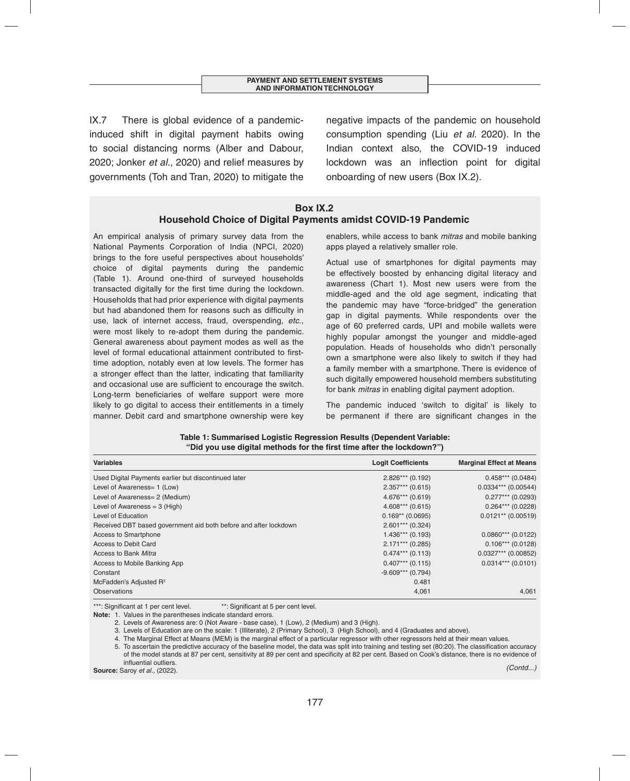IX.7 There is global evidence of a pandemicinduced shift in digital payment habits owing to social distancing norms (Alber and Dabour, 2020; Jonker *et al.,* 2020) and relief measures by governments (Toh and Tran, 2020) to mitigate the negative impacts of the pandemic on household consumption spending (Liu *et al.* 2020). In the Indian context also, the COVID-19 induced lockdown was an inflection point for digital onboarding of new users (Box IX.2).

#### **Box IX.2 Household Choice of Digital Payments amidst COVID-19 Pandemic**

An empirical analysis of primary survey data from the National Payments Corporation of India (NPCI, 2020) brings to the fore useful perspectives about households' choice of digital payments during the pandemic (Table 1). Around one-third of surveyed households transacted digitally for the first time during the lockdown. Households that had prior experience with digital payments but had abandoned them for reasons such as difficulty in use, lack of internet access, fraud, overspending, *etc.*, were most likely to re-adopt them during the pandemic. General awareness about payment modes as well as the level of formal educational attainment contributed to firsttime adoption, notably even at low levels. The former has a stronger effect than the latter, indicating that familiarity and occasional use are sufficient to encourage the switch. Long-term beneficiaries of welfare support were more likely to go digital to access their entitlements in a timely manner. Debit card and smartphone ownership were key

enablers, while access to bank *mitras* and mobile banking apps played a relatively smaller role.

Actual use of smartphones for digital payments may be effectively boosted by enhancing digital literacy and awareness (Chart 1). Most new users were from the middle-aged and the old age segment, indicating that the pandemic may have "force-bridged" the generation gap in digital payments. While respondents over the age of 60 preferred cards, UPI and mobile wallets were highly popular amongst the younger and middle-aged population. Heads of households who didn't personally own a smartphone were also likely to switch if they had a family member with a smartphone. There is evidence of such digitally empowered household members substituting for bank *mitras* in enabling digital payment adoption.

The pandemic induced 'switch to digital' is likely to be permanent if there are significant changes in the

| <b>Variables</b>                                                 | <b>Logit Coefficients</b> | <b>Marginal Effect at Means</b> |
|------------------------------------------------------------------|---------------------------|---------------------------------|
| Used Digital Payments earlier but discontinued later             | $2.826***$ (0.192)        | $0.458***$ (0.0484)             |
| Level of Awareness= 1 (Low)                                      | $2.357***$ (0.615)        | $0.0334***$ (0.00544)           |
| Level of Awareness= 2 (Medium)                                   | $4.676***$ (0.619)        | $0.277***$ (0.0293)             |
| Level of Awareness = $3$ (High)                                  | $4.608***$ (0.615)        | $0.264***$ (0.0228)             |
| Level of Education                                               | $0.169**$ (0.0695)        | $0.0121**$ (0.00519)            |
| Received DBT based government aid both before and after lockdown | $2.601***$ (0.324)        |                                 |
| <b>Access to Smartphone</b>                                      | $1.436***$ (0.193)        | $0.0860***$ (0.0122)            |
| Access to Debit Card                                             | $2.171***$ (0.285)        | $0.106***$ (0.0128)             |
| Access to Bank Mitra                                             | $0.474***$ (0.113)        | $0.0327***$ (0.00852)           |
| Access to Mobile Banking App                                     | $0.407***$ (0.115)        | $0.0314***$ (0.0101)            |
| Constant                                                         | $-9.609***$ (0.794)       |                                 |
| McFadden's Adjusted R <sup>2</sup>                               | 0.481                     |                                 |
| Observations                                                     | 4,061                     | 4,061                           |

**Table 1: Summarised Logistic Regression Results (Dependent Variable:**  "Did you use digital methods for the first time after the lockdown?")

\*\*\*: Significant at 1 per cent level. \*\*\*: Significant at 5 per cent level.

**Note:** 1. Values in the parentheses indicate standard errors.

2. Levels of Awareness are: 0 (Not Aware - base case), 1 (Low), 2 (Medium) and 3 (High).

3. Levels of Education are on the scale: 1 (Illiterate), 2 (Primary School), 3 (High School), and 4 (Graduates and above).

4. The Marginal Effect at Means (MEM) is the marginal effect of a particular regressor with other regressors held at their mean values.

5. To ascertain the predictive accuracy of the baseline model, the data was split into training and testing set (80:20). The classification accuracy of the model stands at 87 per cent, sensitivity at 89 per cent and specificity at 82 per cent. Based on Cook's distance, there is no evidence of influential outliers.

**Source:** Saroy *et al.,* (2022). *(Contd...)*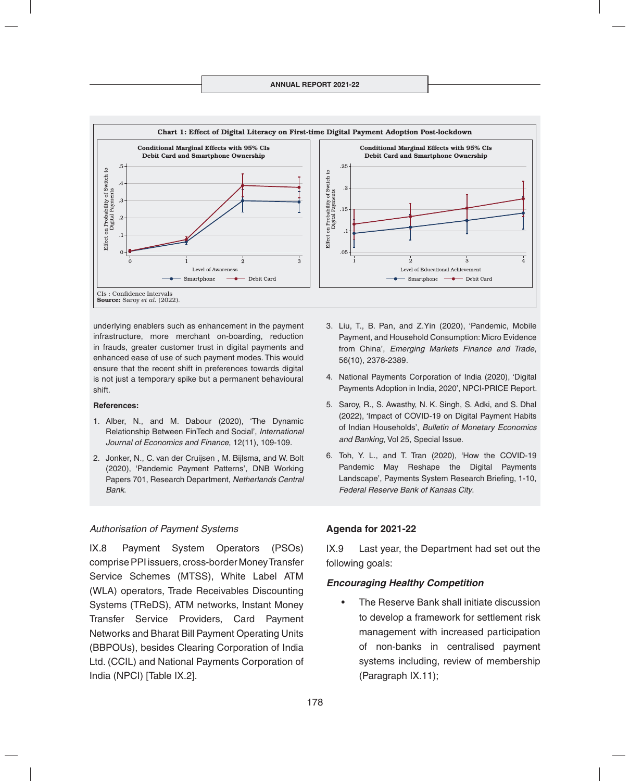

underlying enablers such as enhancement in the payment infrastructure, more merchant on-boarding, reduction in frauds, greater customer trust in digital payments and enhanced ease of use of such payment modes. This would ensure that the recent shift in preferences towards digital is not just a temporary spike but a permanent behavioural shift.

#### **References:**

- 1. Alber, N., and M. Dabour (2020), 'The Dynamic Relationship Between FinTech and Social', *International Journal of Economics and Finance*, 12(11), 109-109.
- 2. Jonker, N., C. van der Cruijsen , M. Bijlsma, and W. Bolt (2020), 'Pandemic Payment Patterns', DNB Working Papers 701, Research Department, *Netherlands Central Bank*.

#### *Authorisation of Payment Systems*

IX.8 Payment System Operators (PSOs) comprise PPI issuers, cross-border Money Transfer Service Schemes (MTSS), White Label ATM (WLA) operators, Trade Receivables Discounting Systems (TReDS), ATM networks, Instant Money Transfer Service Providers, Card Payment Networks and Bharat Bill Payment Operating Units (BBPOUs), besides Clearing Corporation of India Ltd. (CCIL) and National Payments Corporation of India (NPCI) [Table IX.2].

- 3. Liu, T., B. Pan, and Z.Yin (2020), 'Pandemic, Mobile Payment, and Household Consumption: Micro Evidence from China', *Emerging Markets Finance and Trade*, 56(10), 2378-2389.
- 4. National Payments Corporation of India (2020), 'Digital Payments Adoption in India, 2020', NPCI-PRICE Report.
- 5. Saroy, R., S. Awasthy, N. K. Singh, S. Adki, and S. Dhal (2022), 'Impact of COVID-19 on Digital Payment Habits of Indian Households', *Bulletin of Monetary Economics and Banking*, Vol 25, Special Issue.
- 6. Toh, Y. L., and T. Tran (2020), 'How the COVID-19 Pandemic May Reshape the Digital Payments Landscape', Payments System Research Briefing, 1-10, *Federal Reserve Bank of Kansas City*.

#### **Agenda for 2021-22**

IX.9 Last year, the Department had set out the following goals:

#### *Encouraging Healthy Competition*

• The Reserve Bank shall initiate discussion to develop a framework for settlement risk management with increased participation of non-banks in centralised payment systems including, review of membership (Paragraph IX.11);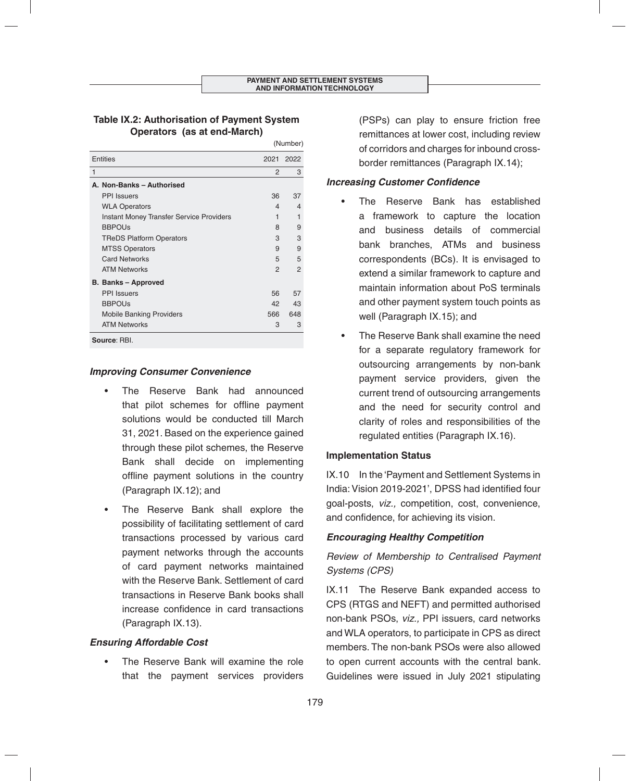## **Table IX.2: Authorisation of Payment System Operators (as at end-March)**

|                                                 |               | (Number)      |  |  |  |
|-------------------------------------------------|---------------|---------------|--|--|--|
| <b>Entities</b>                                 | 2021          | 2022          |  |  |  |
| 1                                               | $\mathcal{P}$ | 3             |  |  |  |
| A. Non-Banks - Authorised                       |               |               |  |  |  |
| <b>PPI</b> Issuers                              | 36            | 37            |  |  |  |
| <b>WLA Operators</b>                            | 4             | 4             |  |  |  |
| <b>Instant Money Transfer Service Providers</b> | 1             | 1             |  |  |  |
| <b>BBPOUs</b>                                   | 8             | 9             |  |  |  |
| <b>TReDS Platform Operators</b>                 | 3             | 3             |  |  |  |
| <b>MTSS Operators</b>                           | 9             | 9             |  |  |  |
| <b>Card Networks</b>                            | 5             | 5             |  |  |  |
| <b>ATM Networks</b>                             | 2             | $\mathcal{P}$ |  |  |  |
| <b>B. Banks - Approved</b>                      |               |               |  |  |  |
| <b>PPI</b> Issuers                              | 56            | 57            |  |  |  |
| <b>BBPOUs</b>                                   | 42            | 43            |  |  |  |
| <b>Mobile Banking Providers</b>                 | 566           | 648           |  |  |  |
| <b>ATM Networks</b>                             | 3             | 3             |  |  |  |
| Source: RBI.                                    |               |               |  |  |  |

## *Improving Consumer Convenience*

- The Reserve Bank had announced that pilot schemes for offline payment solutions would be conducted till March 31, 2021. Based on the experience gained through these pilot schemes, the Reserve Bank shall decide on implementing offline payment solutions in the country (Paragraph IX.12); and
- The Reserve Bank shall explore the possibility of facilitating settlement of card transactions processed by various card payment networks through the accounts of card payment networks maintained with the Reserve Bank. Settlement of card transactions in Reserve Bank books shall increase confidence in card transactions (Paragraph IX.13).

## *Ensuring Affordable Cost*

The Reserve Bank will examine the role that the payment services providers (PSPs) can play to ensure friction free remittances at lower cost, including review of corridors and charges for inbound crossborder remittances (Paragraph IX.14);

## **Increasing Customer Confidence**

- The Reserve Bank has established a framework to capture the location and business details of commercial bank branches, ATMs and business correspondents (BCs). It is envisaged to extend a similar framework to capture and maintain information about PoS terminals and other payment system touch points as well (Paragraph IX.15); and
- The Reserve Bank shall examine the need for a separate regulatory framework for outsourcing arrangements by non-bank payment service providers, given the current trend of outsourcing arrangements and the need for security control and clarity of roles and responsibilities of the regulated entities (Paragraph IX.16).

## **Implementation Status**

IX.10 In the 'Payment and Settlement Systems in India: Vision 2019-2021', DPSS had identified four goal-posts, *viz.,* competition, cost, convenience, and confidence, for achieving its vision.

# *Encouraging Healthy Competition*

# *Review of Membership to Centralised Payment Systems (CPS)*

IX.11 The Reserve Bank expanded access to CPS (RTGS and NEFT) and permitted authorised non-bank PSOs, *viz.,* PPI issuers, card networks and WLA operators, to participate in CPS as direct members. The non-bank PSOs were also allowed to open current accounts with the central bank. Guidelines were issued in July 2021 stipulating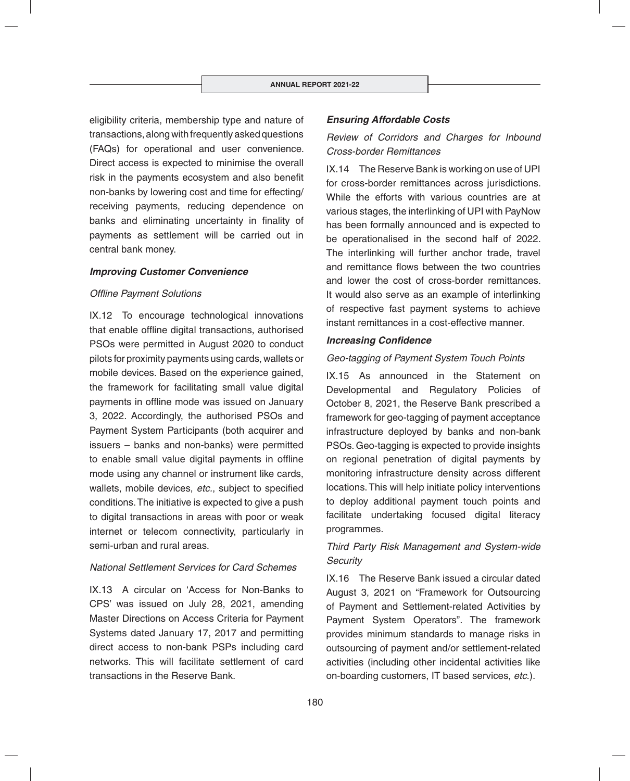eligibility criteria, membership type and nature of transactions, along with frequently asked questions (FAQs) for operational and user convenience. Direct access is expected to minimise the overall risk in the payments ecosystem and also benefit non-banks by lowering cost and time for effecting/ receiving payments, reducing dependence on banks and eliminating uncertainty in finality of payments as settlement will be carried out in central bank money.

#### *Improving Customer Convenience*

#### **Offline Payment Solutions**

IX.12 To encourage technological innovations that enable offline digital transactions, authorised PSOs were permitted in August 2020 to conduct pilots for proximity payments using cards, wallets or mobile devices. Based on the experience gained, the framework for facilitating small value digital payments in offline mode was issued on January 3, 2022. Accordingly, the authorised PSOs and Payment System Participants (both acquirer and issuers – banks and non-banks) were permitted to enable small value digital payments in offline mode using any channel or instrument like cards, wallets, mobile devices, etc., subject to specified conditions. The initiative is expected to give a push to digital transactions in areas with poor or weak internet or telecom connectivity, particularly in semi-urban and rural areas.

#### *National Settlement Services for Card Schemes*

IX.13 A circular on 'Access for Non-Banks to CPS' was issued on July 28, 2021, amending Master Directions on Access Criteria for Payment Systems dated January 17, 2017 and permitting direct access to non-bank PSPs including card networks. This will facilitate settlement of card transactions in the Reserve Bank.

## *Ensuring Affordable Costs*

# *Review of Corridors and Charges for Inbound Cross-border Remittances*

IX.14 The Reserve Bank is working on use of UPI for cross-border remittances across jurisdictions. While the efforts with various countries are at various stages, the interlinking of UPI with PayNow has been formally announced and is expected to be operationalised in the second half of 2022. The interlinking will further anchor trade, travel and remittance flows between the two countries and lower the cost of cross-border remittances. It would also serve as an example of interlinking of respective fast payment systems to achieve instant remittances in a cost-effective manner.

#### **Increasing Confidence**

#### *Geo-tagging of Payment System Touch Points*

IX.15 As announced in the Statement on Developmental and Regulatory Policies of October 8, 2021, the Reserve Bank prescribed a framework for geo-tagging of payment acceptance infrastructure deployed by banks and non-bank PSOs. Geo-tagging is expected to provide insights on regional penetration of digital payments by monitoring infrastructure density across different locations. This will help initiate policy interventions to deploy additional payment touch points and facilitate undertaking focused digital literacy programmes.

# *Third Party Risk Management and System-wide Security*

IX.16 The Reserve Bank issued a circular dated August 3, 2021 on "Framework for Outsourcing of Payment and Settlement-related Activities by Payment System Operators". The framework provides minimum standards to manage risks in outsourcing of payment and/or settlement-related activities (including other incidental activities like on-boarding customers, IT based services, *etc*.).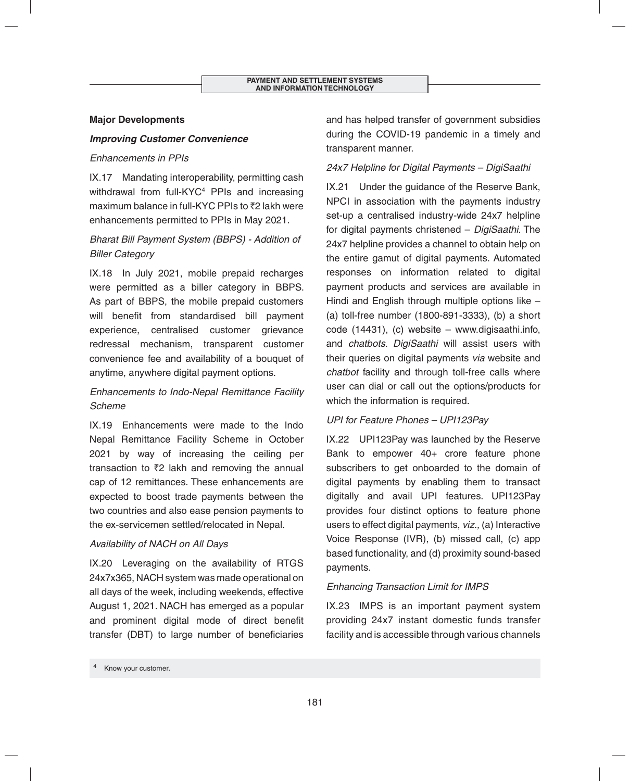## **Major Developments**

## *Improving Customer Convenience*

## *Enhancements in PPIs*

IX.17 Mandating interoperability, permitting cash withdrawal from full-KYC4 PPIs and increasing maximum balance in full-KYC PPIs to  $\bar{z}$  akh were enhancements permitted to PPIs in May 2021.

# *Bharat Bill Payment System (BBPS) - Addition of Biller Category*

IX.18 In July 2021, mobile prepaid recharges were permitted as a biller category in BBPS. As part of BBPS, the mobile prepaid customers will benefit from standardised bill payment experience, centralised customer grievance redressal mechanism, transparent customer convenience fee and availability of a bouquet of anytime, anywhere digital payment options.

# *Enhancements to Indo-Nepal Remittance Facility Scheme*

IX.19 Enhancements were made to the Indo Nepal Remittance Facility Scheme in October 2021 by way of increasing the ceiling per transaction to  $\bar{z}$  lakh and removing the annual cap of 12 remittances. These enhancements are expected to boost trade payments between the two countries and also ease pension payments to the ex-servicemen settled/relocated in Nepal.

## *Availability of NACH on All Days*

IX.20 Leveraging on the availability of RTGS 24x7x365, NACH system was made operational on all days of the week, including weekends, effective August 1, 2021. NACH has emerged as a popular and prominent digital mode of direct benefit transfer (DBT) to large number of beneficiaries

and has helped transfer of government subsidies during the COVID-19 pandemic in a timely and transparent manner.

## *24x7 Helpline for Digital Payments – DigiSaathi*

IX.21 Under the guidance of the Reserve Bank, NPCI in association with the payments industry set-up a centralised industry-wide 24x7 helpline for digital payments christened – *DigiSaathi*. The 24x7 helpline provides a channel to obtain help on the entire gamut of digital payments. Automated responses on information related to digital payment products and services are available in Hindi and English through multiple options like – (a) toll-free number (1800-891-3333), (b) a short code (14431), (c) website – www.digisaathi.info, and *chatbots*. *DigiSaathi* will assist users with their queries on digital payments *via* website and *chatbot* facility and through toll-free calls where user can dial or call out the options/products for which the information is required.

## *UPI for Feature Phones – UPI123Pay*

IX.22 UPI123Pay was launched by the Reserve Bank to empower 40+ crore feature phone subscribers to get onboarded to the domain of digital payments by enabling them to transact digitally and avail UPI features. UPI123Pay provides four distinct options to feature phone users to effect digital payments, *viz.,* (a) Interactive Voice Response (IVR), (b) missed call, (c) app based functionality, and (d) proximity sound-based payments.

## *Enhancing Transaction Limit for IMPS*

IX.23 IMPS is an important payment system providing 24x7 instant domestic funds transfer facility and is accessible through various channels

Know your customer.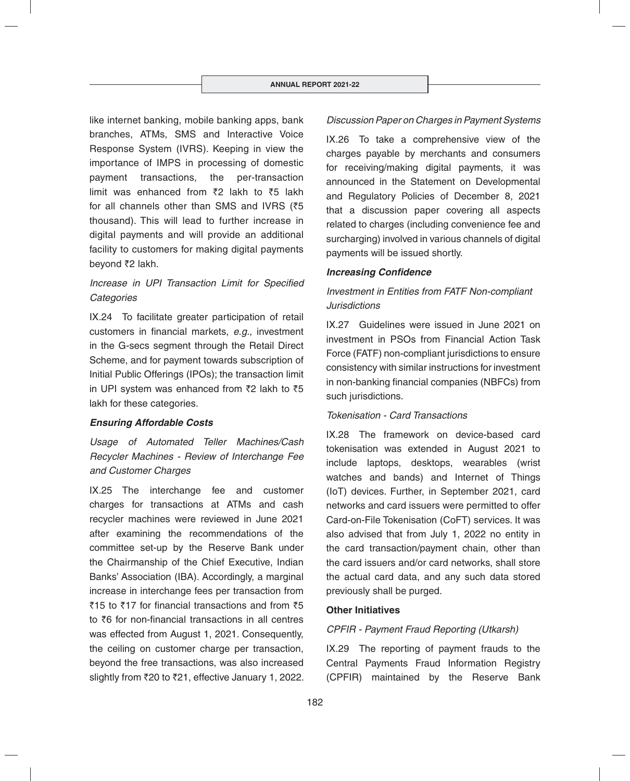like internet banking, mobile banking apps, bank branches, ATMs, SMS and Interactive Voice Response System (IVRS). Keeping in view the importance of IMPS in processing of domestic payment transactions, the per-transaction limit was enhanced from  $\bar{z}$  lakh to  $\bar{z}$  lakh for all channels other than SMS and IVRS ( $\overline{5}$ thousand). This will lead to further increase in digital payments and will provide an additional facility to customers for making digital payments bevond ₹2 lakh.

# *Increase in UPI Transaction Limit for Specified Categories*

IX.24 To facilitate greater participation of retail customers in financial markets, e.g., investment in the G-secs segment through the Retail Direct Scheme, and for payment towards subscription of Initial Public Offerings (IPOs); the transaction limit in UPI system was enhanced from  $\bar{z}$  lakh to  $\bar{z}$  5 lakh for these categories.

#### *Ensuring Affordable Costs*

*Usage of Automated Teller Machines/Cash Recycler Machines - Review of Interchange Fee and Customer Charges*

IX.25 The interchange fee and customer charges for transactions at ATMs and cash recycler machines were reviewed in June 2021 after examining the recommendations of the committee set-up by the Reserve Bank under the Chairmanship of the Chief Executive, Indian Banks' Association (IBA). Accordingly, a marginal increase in interchange fees per transaction from ₹15 to ₹17 for financial transactions and from ₹5 to  $\bar{\xi}6$  for non-financial transactions in all centres was effected from August 1, 2021. Consequently, the ceiling on customer charge per transaction, beyond the free transactions, was also increased slightly from  $\overline{20}$  to  $\overline{21}$ , effective January 1, 2022.

#### *Discussion Paper on Charges in Payment Systems*

IX.26 To take a comprehensive view of the charges payable by merchants and consumers for receiving/making digital payments, it was announced in the Statement on Developmental and Regulatory Policies of December 8, 2021 that a discussion paper covering all aspects related to charges (including convenience fee and surcharging) involved in various channels of digital payments will be issued shortly.

#### **Increasing Confidence**

## *Investment in Entities from FATF Non-compliant Jurisdictions*

IX.27 Guidelines were issued in June 2021 on investment in PSOs from Financial Action Task Force (FATF) non-compliant jurisdictions to ensure consistency with similar instructions for investment in non-banking financial companies (NBFCs) from such jurisdictions.

#### *Tokenisation - Card Transactions*

IX.28 The framework on device-based card tokenisation was extended in August 2021 to include laptops, desktops, wearables (wrist watches and bands) and Internet of Things (IoT) devices. Further, in September 2021, card networks and card issuers were permitted to offer Card-on-File Tokenisation (CoFT) services. It was also advised that from July 1, 2022 no entity in the card transaction/payment chain, other than the card issuers and/or card networks, shall store the actual card data, and any such data stored previously shall be purged.

#### **Other Initiatives**

#### *CPFIR - Payment Fraud Reporting (Utkarsh)*

IX.29 The reporting of payment frauds to the Central Payments Fraud Information Registry (CPFIR) maintained by the Reserve Bank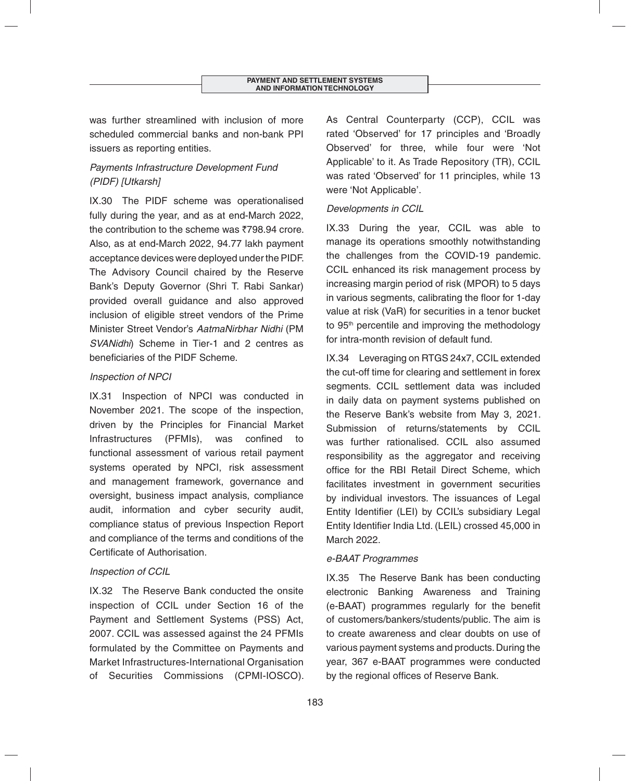was further streamlined with inclusion of more scheduled commercial banks and non-bank PPI issuers as reporting entities.

# *Payments Infrastructure Development Fund (PIDF) [Utkarsh]*

IX.30 The PIDF scheme was operationalised fully during the year, and as at end-March 2022, the contribution to the scheme was  $\overline{7}798.94$  crore. Also, as at end-March 2022, 94.77 lakh payment acceptance devices were deployed under the PIDF. The Advisory Council chaired by the Reserve Bank's Deputy Governor (Shri T. Rabi Sankar) provided overall guidance and also approved inclusion of eligible street vendors of the Prime Minister Street Vendor's *AatmaNirbhar Nidhi* (PM *SVANidhi*) Scheme in Tier-1 and 2 centres as beneficiaries of the PIDF Scheme.

# *Inspection of NPCI*

IX.31 Inspection of NPCI was conducted in November 2021. The scope of the inspection, driven by the Principles for Financial Market Infrastructures (PFMIs), was confined to functional assessment of various retail payment systems operated by NPCI, risk assessment and management framework, governance and oversight, business impact analysis, compliance audit, information and cyber security audit, compliance status of previous Inspection Report and compliance of the terms and conditions of the Certificate of Authorisation.

# *Inspection of CCIL*

IX.32 The Reserve Bank conducted the onsite inspection of CCIL under Section 16 of the Payment and Settlement Systems (PSS) Act, 2007. CCIL was assessed against the 24 PFMIs formulated by the Committee on Payments and Market Infrastructures-International Organisation of Securities Commissions (CPMI-IOSCO). As Central Counterparty (CCP), CCIL was rated 'Observed' for 17 principles and 'Broadly Observed' for three, while four were 'Not Applicable' to it. As Trade Repository (TR), CCIL was rated 'Observed' for 11 principles, while 13 were 'Not Applicable'.

# *Developments in CCIL*

IX.33 During the year, CCIL was able to manage its operations smoothly notwithstanding the challenges from the COVID-19 pandemic. CCIL enhanced its risk management process by increasing margin period of risk (MPOR) to 5 days in various segments, calibrating the floor for 1-day value at risk (VaR) for securities in a tenor bucket to 95<sup>th</sup> percentile and improving the methodology for intra-month revision of default fund.

IX.34 Leveraging on RTGS 24x7, CCIL extended the cut-off time for clearing and settlement in forex segments. CCIL settlement data was included in daily data on payment systems published on the Reserve Bank's website from May 3, 2021. Submission of returns/statements by CCIL was further rationalised. CCIL also assumed responsibility as the aggregator and receiving office for the RBI Retail Direct Scheme, which facilitates investment in government securities by individual investors. The issuances of Legal Entity Identifier (LEI) by CCIL's subsidiary Legal Entity Identifier India Ltd. (LEIL) crossed 45,000 in March 2022.

# *e-BAAT Programmes*

IX.35 The Reserve Bank has been conducting electronic Banking Awareness and Training (e-BAAT) programmes regularly for the benefit of customers/bankers/students/public. The aim is to create awareness and clear doubts on use of various payment systems and products. During the year, 367 e-BAAT programmes were conducted by the regional offices of Reserve Bank.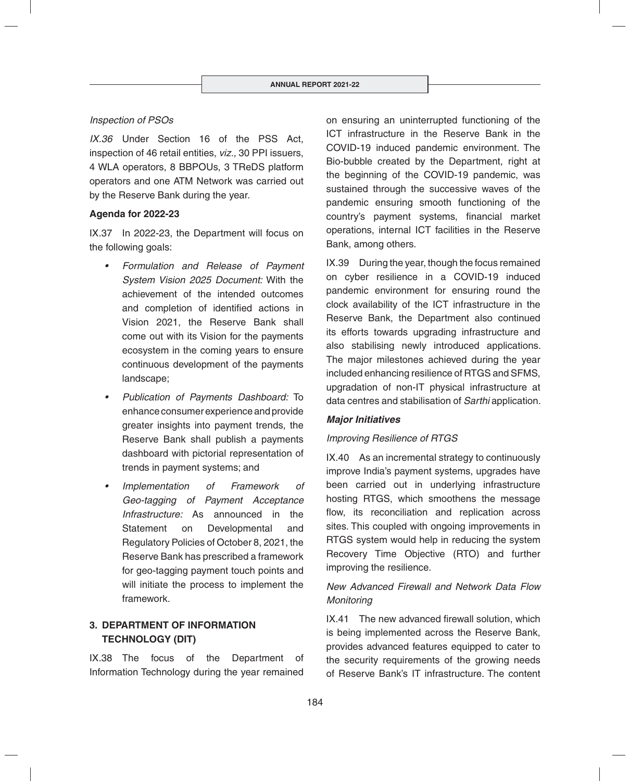## *Inspection of PSOs*

*IX.36* Under Section 16 of the PSS Act, inspection of 46 retail entities, *viz.,* 30 PPI issuers, 4 WLA operators, 8 BBPOUs, 3 TReDS platform operators and one ATM Network was carried out by the Reserve Bank during the year.

#### **Agenda for 2022-23**

IX.37 In 2022-23, the Department will focus on the following goals:

- *Formulation and Release of Payment System Vision 2025 Document:* With the achievement of the intended outcomes and completion of identified actions in Vision 2021, the Reserve Bank shall come out with its Vision for the payments ecosystem in the coming years to ensure continuous development of the payments landscape;
- *Publication of Payments Dashboard:* To enhance consumer experience and provide greater insights into payment trends, the Reserve Bank shall publish a payments dashboard with pictorial representation of trends in payment systems; and
- *Implementation of Framework of Geo-tagging of Payment Acceptance Infrastructure:* As announced in the Statement on Developmental and Regulatory Policies of October 8, 2021, the Reserve Bank has prescribed a framework for geo-tagging payment touch points and will initiate the process to implement the framework.

# **3. DEPARTMENT OF INFORMATION TECHNOLOGY (DIT)**

IX.38 The focus of the Department of Information Technology during the year remained

on ensuring an uninterrupted functioning of the ICT infrastructure in the Reserve Bank in the COVID-19 induced pandemic environment. The Bio-bubble created by the Department, right at the beginning of the COVID-19 pandemic, was sustained through the successive waves of the pandemic ensuring smooth functioning of the country's payment systems, financial market operations, internal ICT facilities in the Reserve Bank, among others.

IX.39 During the year, though the focus remained on cyber resilience in a COVID-19 induced pandemic environment for ensuring round the clock availability of the ICT infrastructure in the Reserve Bank, the Department also continued its efforts towards upgrading infrastructure and also stabilising newly introduced applications. The major milestones achieved during the year included enhancing resilience of RTGS and SFMS, upgradation of non-IT physical infrastructure at data centres and stabilisation of *Sarthi* application.

#### *Major Initiatives*

## *Improving Resilience of RTGS*

IX.40 As an incremental strategy to continuously improve India's payment systems, upgrades have been carried out in underlying infrastructure hosting RTGS, which smoothens the message flow, its reconciliation and replication across sites. This coupled with ongoing improvements in RTGS system would help in reducing the system Recovery Time Objective (RTO) and further improving the resilience.

# *New Advanced Firewall and Network Data Flow Monitoring*

 $IX.41$  The new advanced firewall solution, which is being implemented across the Reserve Bank, provides advanced features equipped to cater to the security requirements of the growing needs of Reserve Bank's IT infrastructure. The content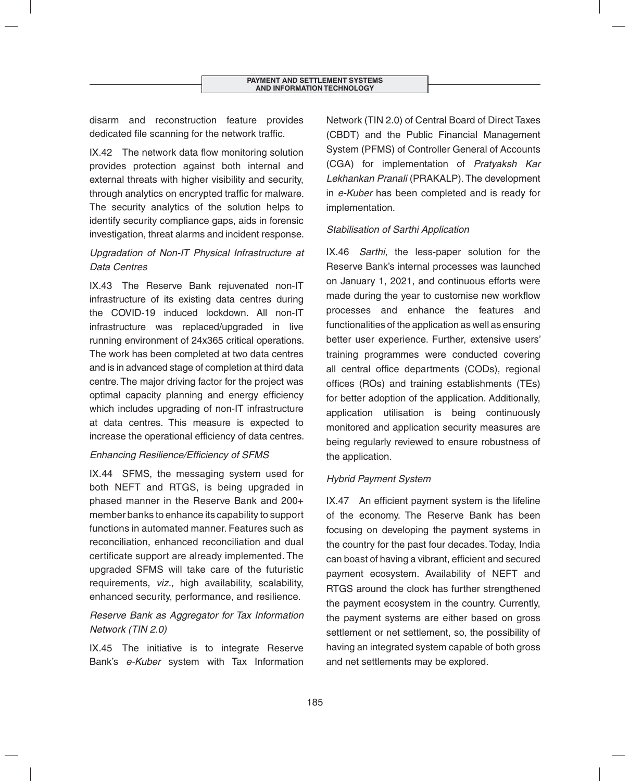disarm and reconstruction feature provides dedicated file scanning for the network traffic.

IX.42 The network data flow monitoring solution provides protection against both internal and external threats with higher visibility and security, through analytics on encrypted traffic for malware. The security analytics of the solution helps to identify security compliance gaps, aids in forensic investigation, threat alarms and incident response.

# *Upgradation of Non-IT Physical Infrastructure at Data Centres*

IX.43 The Reserve Bank rejuvenated non-IT infrastructure of its existing data centres during the COVID-19 induced lockdown. All non-IT infrastructure was replaced/upgraded in live running environment of 24x365 critical operations. The work has been completed at two data centres and is in advanced stage of completion at third data centre. The major driving factor for the project was optimal capacity planning and energy efficiency which includes upgrading of non-IT infrastructure at data centres. This measure is expected to increase the operational efficiency of data centres.

## **Enhancing Resilience/Efficiency of SFMS**

IX.44 SFMS, the messaging system used for both NEFT and RTGS, is being upgraded in phased manner in the Reserve Bank and 200+ member banks to enhance its capability to support functions in automated manner. Features such as reconciliation, enhanced reconciliation and dual certificate support are already implemented. The upgraded SFMS will take care of the futuristic requirements, *viz.,* high availability, scalability, enhanced security, performance, and resilience.

# *Reserve Bank as Aggregator for Tax Information Network (TIN 2.0)*

IX.45 The initiative is to integrate Reserve Bank's *e-Kuber* system with Tax Information Network (TIN 2.0) of Central Board of Direct Taxes (CBDT) and the Public Financial Management System (PFMS) of Controller General of Accounts (CGA) for implementation of *Pratyaksh Kar Lekhankan Pranali* (PRAKALP). The development in *e-Kuber* has been completed and is ready for implementation.

# *Stabilisation of Sarthi Application*

IX.46 *Sarthi*, the less-paper solution for the Reserve Bank's internal processes was launched on January 1, 2021, and continuous efforts were made during the year to customise new workflow processes and enhance the features and functionalities of the application as well as ensuring better user experience. Further, extensive users' training programmes were conducted covering all central office departments (CODs), regional offices (ROs) and training establishments (TEs) for better adoption of the application. Additionally, application utilisation is being continuously monitored and application security measures are being regularly reviewed to ensure robustness of the application.

# *Hybrid Payment System*

 $IX.47$  An efficient payment system is the lifeline of the economy. The Reserve Bank has been focusing on developing the payment systems in the country for the past four decades. Today, India can boast of having a vibrant, efficient and secured payment ecosystem. Availability of NEFT and RTGS around the clock has further strengthened the payment ecosystem in the country. Currently, the payment systems are either based on gross settlement or net settlement, so, the possibility of having an integrated system capable of both gross and net settlements may be explored.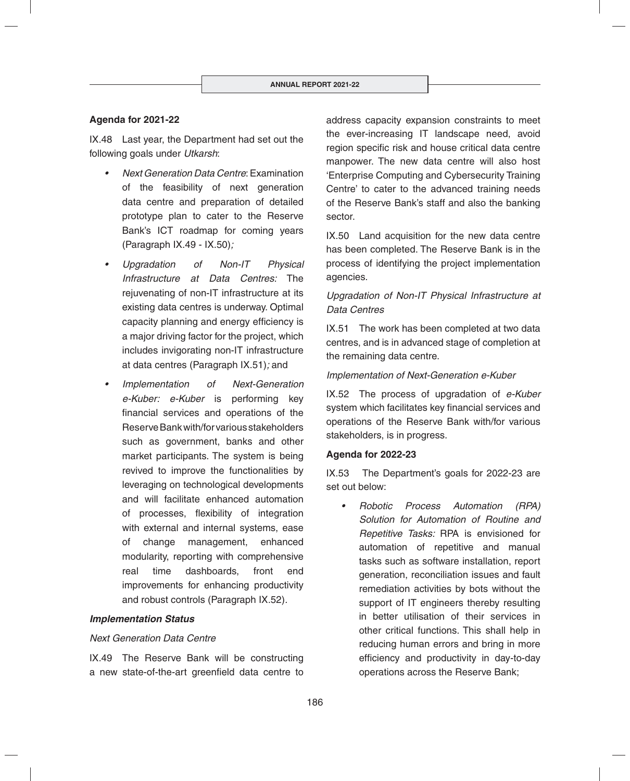## **Agenda for 2021-22**

IX.48 Last year, the Department had set out the following goals under *Utkarsh*:

- *Next Generation Data Centre*: Examination of the feasibility of next generation data centre and preparation of detailed prototype plan to cater to the Reserve Bank's ICT roadmap for coming years (Paragraph IX.49 - IX.50)*;*
- *Upgradation of Non-IT Physical Infrastructure at Data Centres:* The rejuvenating of non-IT infrastructure at its existing data centres is underway. Optimal capacity planning and energy efficiency is a major driving factor for the project, which includes invigorating non-IT infrastructure at data centres (Paragraph IX.51)*;* and
- *Implementation of Next-Generation e-Kuber: e-Kuber* is performing key financial services and operations of the Reserve Bank with/for various stakeholders such as government, banks and other market participants. The system is being revived to improve the functionalities by leveraging on technological developments and will facilitate enhanced automation of processes, flexibility of integration with external and internal systems, ease of change management, enhanced modularity, reporting with comprehensive real time dashboards, front end improvements for enhancing productivity and robust controls (Paragraph IX.52)*.*

#### *Implementation Status*

## *Next Generation Data Centre*

IX.49 The Reserve Bank will be constructing a new state-of-the-art greenfield data centre to address capacity expansion constraints to meet the ever-increasing IT landscape need, avoid region specific risk and house critical data centre manpower. The new data centre will also host 'Enterprise Computing and Cybersecurity Training Centre' to cater to the advanced training needs of the Reserve Bank's staff and also the banking sector.

IX.50 Land acquisition for the new data centre has been completed. The Reserve Bank is in the process of identifying the project implementation agencies.

## *Upgradation of Non-IT Physical Infrastructure at Data Centres*

IX.51 The work has been completed at two data centres, and is in advanced stage of completion at the remaining data centre.

## *Implementation of Next-Generation e-Kuber*

IX.52 The process of upgradation of *e-Kuber* system which facilitates key financial services and operations of the Reserve Bank with/for various stakeholders, is in progress.

#### **Agenda for 2022-23**

IX.53 The Department's goals for 2022-23 are set out below:

*• Robotic Process Automation (RPA) Solution for Automation of Routine and Repetitive Tasks:* RPA is envisioned for automation of repetitive and manual tasks such as software installation, report generation, reconciliation issues and fault remediation activities by bots without the support of IT engineers thereby resulting in better utilisation of their services in other critical functions. This shall help in reducing human errors and bring in more efficiency and productivity in day-to-day operations across the Reserve Bank;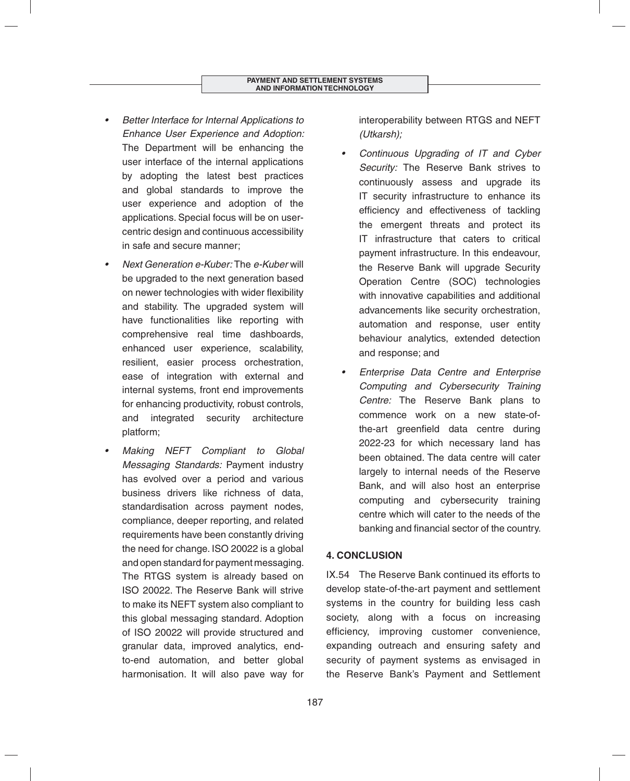- *Better Interface for Internal Applications to Enhance User Experience and Adoption:*  The Department will be enhancing the user interface of the internal applications by adopting the latest best practices and global standards to improve the user experience and adoption of the applications. Special focus will be on usercentric design and continuous accessibility in safe and secure manner;
- *Next Generation e-Kuber:* The *e-Kuber* will be upgraded to the next generation based on newer technologies with wider flexibility and stability. The upgraded system will have functionalities like reporting with comprehensive real time dashboards, enhanced user experience, scalability, resilient, easier process orchestration, ease of integration with external and internal systems, front end improvements for enhancing productivity, robust controls, and integrated security architecture platform;
- *Making NEFT Compliant to Global Messaging Standards:* Payment industry has evolved over a period and various business drivers like richness of data, standardisation across payment nodes, compliance, deeper reporting, and related requirements have been constantly driving the need for change. ISO 20022 is a global and open standard for payment messaging. The RTGS system is already based on ISO 20022. The Reserve Bank will strive to make its NEFT system also compliant to this global messaging standard. Adoption of ISO 20022 will provide structured and granular data, improved analytics, endto-end automation, and better global harmonisation. It will also pave way for

interoperability between RTGS and NEFT *(Utkarsh);*

- *Continuous Upgrading of IT and Cyber Security:* The Reserve Bank strives to continuously assess and upgrade its IT security infrastructure to enhance its efficiency and effectiveness of tackling the emergent threats and protect its IT infrastructure that caters to critical payment infrastructure. In this endeavour, the Reserve Bank will upgrade Security Operation Centre (SOC) technologies with innovative capabilities and additional advancements like security orchestration, automation and response, user entity behaviour analytics, extended detection and response; and
- *Enterprise Data Centre and Enterprise Computing and Cybersecurity Training Centre:* The Reserve Bank plans to commence work on a new state-ofthe-art greenfield data centre during 2022-23 for which necessary land has been obtained. The data centre will cater largely to internal needs of the Reserve Bank, and will also host an enterprise computing and cybersecurity training centre which will cater to the needs of the banking and financial sector of the country.

# **4. CONCLUSION**

IX.54 The Reserve Bank continued its efforts to develop state-of-the-art payment and settlement systems in the country for building less cash society, along with a focus on increasing efficiency, improving customer convenience, expanding outreach and ensuring safety and security of payment systems as envisaged in the Reserve Bank's Payment and Settlement